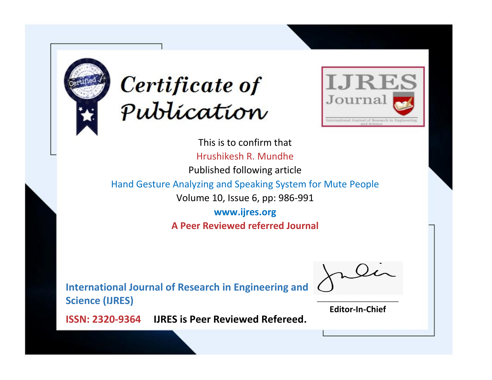



This is to confirm that Hrushikesh R. Mundhe Published following article Hand Gesture Analyzing and Speaking System for Mute People Volume 10, Issue 6, pp: 986-991 **www.ijres.org A Peer Reviewed referred Journal**

**International Journal of Research in Engineering and Science (IJRES)**

\_\_\_\_\_\_\_\_\_\_\_\_\_\_\_\_\_\_\_\_\_\_\_\_ **Editor-In-Chief**

**Journal.**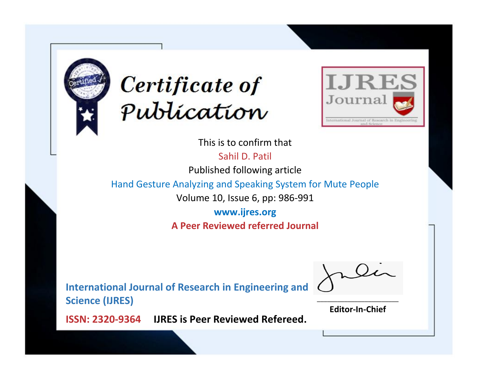



This is to confirm that

Sahil D. Patil

Published following article

Hand Gesture Analyzing and Speaking System for Mute People

Volume 10, Issue 6, pp: 986-991

**www.ijres.org A Peer Reviewed referred Journal**

**International Journal of Research in Engineering and Science (IJRES)**

\_\_\_\_\_\_\_\_\_\_\_\_\_\_\_\_\_\_\_\_\_\_\_\_ **Editor-In-Chief**

**Journal.**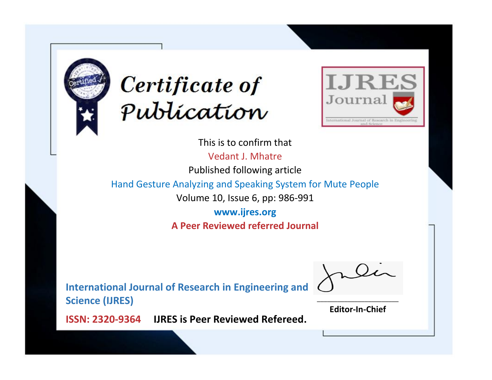



This is to confirm that Vedant J. Mhatre

Published following article

Hand Gesture Analyzing and Speaking System for Mute People

Volume 10, Issue 6, pp: 986-991

**www.ijres.org A Peer Reviewed referred Journal**

**International Journal of Research in Engineering and Science (IJRES)**

\_\_\_\_\_\_\_\_\_\_\_\_\_\_\_\_\_\_\_\_\_\_\_\_ **Editor-In-Chief**

**Journal.**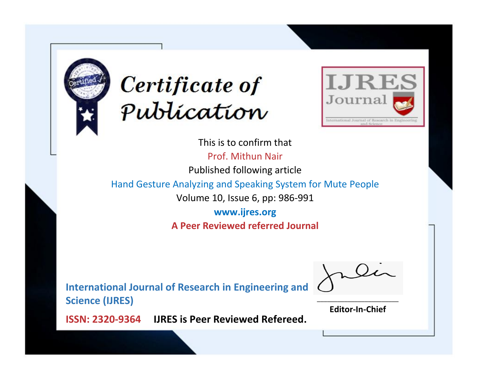



This is to confirm that Prof. Mithun Nair Published following article Hand Gesture Analyzing and Speaking System for Mute People Volume 10, Issue 6, pp: 986-991 **www.ijres.org A Peer Reviewed referred Journal**

**International Journal of Research in Engineering and Science (IJRES)**

\_\_\_\_\_\_\_\_\_\_\_\_\_\_\_\_\_\_\_\_\_\_\_\_ **Editor-In-Chief**

**Journal.**